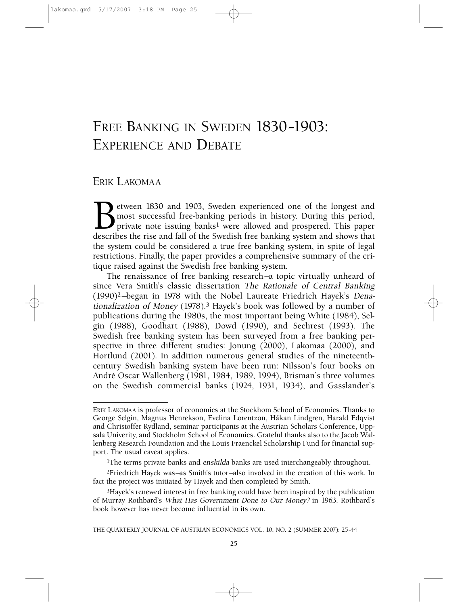# FREE BANKING IN SWEDEN 1830–1903: EXPERIENCE AND DEBATE

## ERIK LAKOMAA

European 1830 and 1903, Sweden experienced one of the longest and most successful free-banking periods in history. During this period, private note issuing banks<sup>1</sup> were allowed and prospered. This paper describes the rise most successful free-banking periods in history. During this period, private note issuing banks<sup>1</sup> were allowed and prospered. This paper describes the rise and fall of the Swedish free banking system and shows that the system could be considered a true free banking system, in spite of legal restrictions. Finally, the paper provides a comprehensive summary of the critique raised against the Swedish free banking system.

The renaissance of free banking research—a topic virtually unheard of since Vera Smith's classic dissertation The Rationale of Central Banking (1990)2—began in 1978 with the Nobel Laureate Friedrich Hayek's Denationalization of Money (1978).3 Hayek's book was followed by a number of publications during the 1980s, the most important being White (1984), Selgin (1988), Goodhart (1988), Dowd (1990), and Sechrest (1993). The Swedish free banking system has been surveyed from a free banking perspective in three different studies: Jonung (2000), Lakomaa (2000), and Hortlund (2001). In addition numerous general studies of the nineteenthcentury Swedish banking system have been run: Nilsson's four books on André Oscar Wallenberg (1981, 1984, 1989, 1994), Brisman's three volumes on the Swedish commercial banks (1924, 1931, 1934), and Gasslander's

THE QUARTERLY JOURNAL OF AUSTRIAN ECONOMICS VOL. 10, NO. 2 (SUMMER 2007): 25–44

ERIK LAKOMAA is professor of economics at the Stockhom School of Economics. Thanks to George Selgin, Magnus Henrekson, Evelina Lorentzon, Håkan Lindgren, Harald Edqvist and Christoffer Rydland, seminar participants at the Austrian Scholars Conference, Uppsala Univerity, and Stockholm School of Economics. Grateful thanks also to the Jacob Wallenberg Research Foundation and the Louis Fraenckel Scholarship Fund for financial support. The usual caveat applies.

<sup>&</sup>lt;sup>1</sup>The terms private banks and enskilda banks are used interchangeably throughout.

<sup>2</sup>Friedrich Hayek was—as Smith's tutor—also involved in the creation of this work. In fact the project was initiated by Hayek and then completed by Smith.

<sup>3</sup>Hayek's renewed interest in free banking could have been inspired by the publication of Murray Rothbard's What Has Government Done to Our Money? in 1963. Rothbard's book however has never become influential in its own.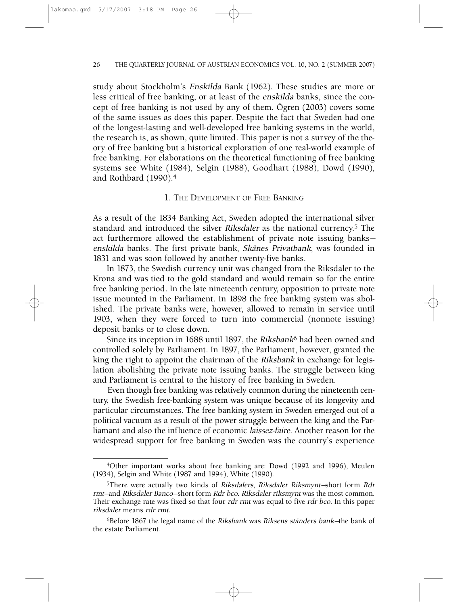study about Stockholm's Enskilda Bank (1962). These studies are more or less critical of free banking, or at least of the enskilda banks, since the concept of free banking is not used by any of them. Ögren (2003) covers some of the same issues as does this paper. Despite the fact that Sweden had one of the longest-lasting and well-developed free banking systems in the world, the research is, as shown, quite limited. This paper is not a survey of the theory of free banking but a historical exploration of one real-world example of free banking. For elaborations on the theoretical functioning of free banking systems see White (1984), Selgin (1988), Goodhart (1988), Dowd (1990), and Rothbard (1990).4

### 1. THE DEVELOPMENT OF FREE BANKING

As a result of the 1834 Banking Act, Sweden adopted the international silver standard and introduced the silver Riksdaler as the national currency.<sup>5</sup> The act furthermore allowed the establishment of private note issuing banks enskilda banks. The first private bank, Skånes Privatbank, was founded in 1831 and was soon followed by another twenty-five banks.

In 1873, the Swedish currency unit was changed from the Riksdaler to the Krona and was tied to the gold standard and would remain so for the entire free banking period. In the late nineteenth century, opposition to private note issue mounted in the Parliament. In 1898 the free banking system was abolished. The private banks were, however, allowed to remain in service until 1903, when they were forced to turn into commercial (nonnote issuing) deposit banks or to close down.

Since its inception in 1688 until 1897, the Riksbank<sup>6</sup> had been owned and controlled solely by Parliament. In 1897, the Parliament, however, granted the king the right to appoint the chairman of the Riksbank in exchange for legislation abolishing the private note issuing banks. The struggle between king and Parliament is central to the history of free banking in Sweden.

Even though free banking was relatively common during the nineteenth century, the Swedish free-banking system was unique because of its longevity and particular circumstances. The free banking system in Sweden emerged out of a political vacuum as a result of the power struggle between the king and the Parliamant and also the influence of economic laissez-faire. Another reason for the widespread support for free banking in Sweden was the country's experience

<sup>4</sup>Other important works about free banking are: Dowd (1992 and 1996), Meulen (1934), Selgin and White (1987 and 1994), White (1990).

<sup>&</sup>lt;sup>5</sup>There were actually two kinds of Riksdalers, Riksdaler Riksmynt-short form Rdr rmt—and Riksdaler Banco—short form Rdr bco. Riksdaler riksmynt was the most common. Their exchange rate was fixed so that four rdr rmt was equal to five rdr bco. In this paper riksdaler means rdr rmt.

<sup>6</sup>Before 1867 the legal name of the Riksbank was Riksens ständers bank—the bank of the estate Parliament.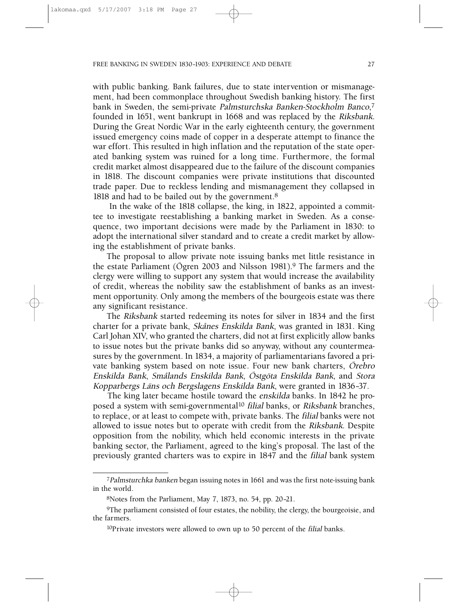with public banking. Bank failures, due to state intervention or mismanagement, had been commonplace throughout Swedish banking history. The first bank in Sweden, the semi-private Palmsturchska Banken-Stockholm Banco,<sup>7</sup> founded in 1651, went bankrupt in 1668 and was replaced by the Riksbank. During the Great Nordic War in the early eighteenth century, the government issued emergency coins made of copper in a desperate attempt to finance the war effort. This resulted in high inflation and the reputation of the state operated banking system was ruined for a long time. Furthermore, the formal credit market almost disappeared due to the failure of the discount companies in 1818. The discount companies were private institutions that discounted trade paper. Due to reckless lending and mismanagement they collapsed in 1818 and had to be bailed out by the government.8

In the wake of the 1818 collapse, the king, in 1822, appointed a committee to investigate reestablishing a banking market in Sweden. As a consequence, two important decisions were made by the Parliament in 1830: to adopt the international silver standard and to create a credit market by allowing the establishment of private banks.

The proposal to allow private note issuing banks met little resistance in the estate Parliament (Ögren 2003 and Nilsson 1981).9 The farmers and the clergy were willing to support any system that would increase the availability of credit, whereas the nobility saw the establishment of banks as an investment opportunity. Only among the members of the bourgeois estate was there any significant resistance.

The Riksbank started redeeming its notes for silver in 1834 and the first charter for a private bank, Skånes Enskilda Bank, was granted in 1831. King Carl Johan XIV, who granted the charters, did not at first explicitly allow banks to issue notes but the private banks did so anyway, without any countermeasures by the government. In 1834, a majority of parliamentarians favored a private banking system based on note issue. Four new bank charters, Örebro Enskilda Bank, Smålands Enskilda Bank, Östgöta Enskilda Bank, and Stora Kopparbergs Läns och Bergslagens Enskilda Bank, were granted in 1836–37.

The king later became hostile toward the enskilda banks. In 1842 he proposed a system with semi-governmental<sup>10</sup> filial banks, or Riksbank branches, to replace, or at least to compete with, private banks. The filial banks were not allowed to issue notes but to operate with credit from the Riksbank. Despite opposition from the nobility, which held economic interests in the private banking sector, the Parliament, agreed to the king's proposal. The last of the previously granted charters was to expire in 1847 and the filial bank system

<sup>7</sup>Palmsturchka banken began issuing notes in 1661 and was the first note-issuing bank in the world.

<sup>8</sup>Notes from the Parliament, May 7, 1873, no. 54, pp. 20–21.

<sup>9</sup>The parliament consisted of four estates, the nobility, the clergy, the bourgeoisie, and the farmers.

<sup>&</sup>lt;sup>10</sup>Private investors were allowed to own up to 50 percent of the *filial* banks.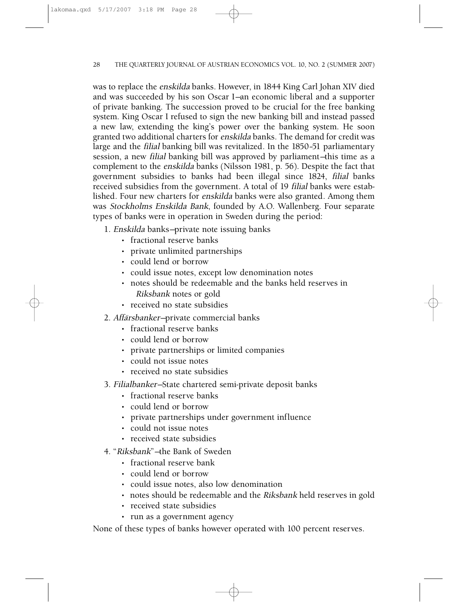was to replace the enskilda banks. However, in 1844 King Carl Johan XIV died and was succeeded by his son Oscar I—an economic liberal and a supporter of private banking. The succession proved to be crucial for the free banking system. King Oscar I refused to sign the new banking bill and instead passed a new law, extending the king's power over the banking system. He soon granted two additional charters for enskilda banks. The demand for credit was large and the filial banking bill was revitalized. In the 1850-51 parliamentary session, a new filial banking bill was approved by parliament-this time as a complement to the enskilda banks (Nilsson 1981, p. 56). Despite the fact that government subsidies to banks had been illegal since 1824, filial banks received subsidies from the government. A total of 19 filial banks were established. Four new charters for enskilda banks were also granted. Among them was Stockholms Enskilda Bank, founded by A.O. Wallenberg. Four separate types of banks were in operation in Sweden during the period:

- 1. Enskilda banks—private note issuing banks
	- fractional reserve banks
	- private unlimited partnerships
	- could lend or borrow
	- could issue notes, except low denomination notes
	- notes should be redeemable and the banks held reserves in Riksbank notes or gold
	- received no state subsidies
- 2. Affärsbanker—private commercial banks
	- fractional reserve banks
	- could lend or borrow
	- private partnerships or limited companies
	- could not issue notes
	- received no state subsidies
- 3. Filialbanker—State chartered semi-private deposit banks
	- fractional reserve banks
	- could lend or borrow
	- private partnerships under government influence
	- could not issue notes
	- received state subsidies
- 4. "Riksbank"—the Bank of Sweden
	- fractional reserve bank
	- could lend or borrow
	- could issue notes, also low denomination
	- notes should be redeemable and the Riksbank held reserves in gold
	- received state subsidies
	- run as a government agency

None of these types of banks however operated with 100 percent reserves.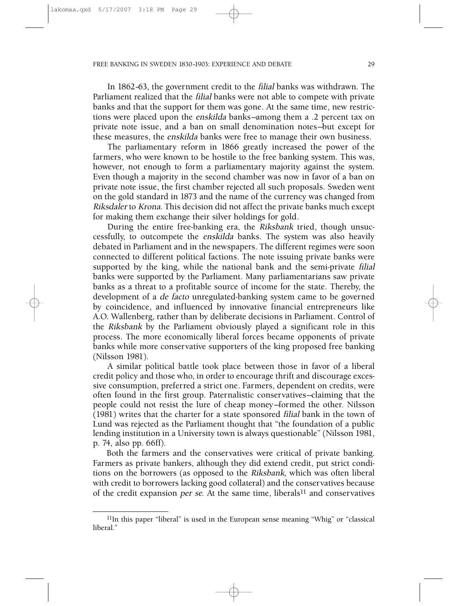In 1862–63, the government credit to the filial banks was withdrawn. The Parliament realized that the filial banks were not able to compete with private banks and that the support for them was gone. At the same time, new restrictions were placed upon the enskilda banks—among them a .2 percent tax on private note issue, and a ban on small denomination notes—but except for these measures, the enskilda banks were free to manage their own business.

The parliamentary reform in 1866 greatly increased the power of the farmers, who were known to be hostile to the free banking system. This was, however, not enough to form a parliamentary majority against the system. Even though a majority in the second chamber was now in favor of a ban on private note issue, the first chamber rejected all such proposals. Sweden went on the gold standard in 1873 and the name of the currency was changed from Riksdaler to Krona. This decision did not affect the private banks much except for making them exchange their silver holdings for gold.

During the entire free-banking era, the Riksbank tried, though unsuccessfully, to outcompete the enskilda banks. The system was also heavily debated in Parliament and in the newspapers. The different regimes were soon connected to different political factions. The note issuing private banks were supported by the king, while the national bank and the semi-private filial banks were supported by the Parliament. Many parliamentarians saw private banks as a threat to a profitable source of income for the state. Thereby, the development of a de facto unregulated-banking system came to be governed by coincidence, and influenced by innovative financial entrepreneurs like A.O. Wallenberg, rather than by deliberate decisions in Parliament. Control of the Riksbank by the Parliament obviously played a significant role in this process. The more economically liberal forces became opponents of private banks while more conservative supporters of the king proposed free banking (Nilsson 1981).

A similar political battle took place between those in favor of a liberal credit policy and those who, in order to encourage thrift and discourage excessive consumption, preferred a strict one. Farmers, dependent on credits, were often found in the first group. Paternalistic conservatives—claiming that the people could not resist the lure of cheap money—formed the other. Nilsson (1981) writes that the charter for a state sponsored filial bank in the town of Lund was rejected as the Parliament thought that "the foundation of a public lending institution in a University town is always questionable" (Nilsson 1981, p. 74, also pp. 66ff).

Both the farmers and the conservatives were critical of private banking. Farmers as private bankers, although they did extend credit, put strict conditions on the borrowers (as opposed to the Riksbank, which was often liberal with credit to borrowers lacking good collateral) and the conservatives because of the credit expansion per se. At the same time, liberals<sup>11</sup> and conservatives

<sup>11</sup>In this paper "liberal" is used in the European sense meaning "Whig" or "classical liberal."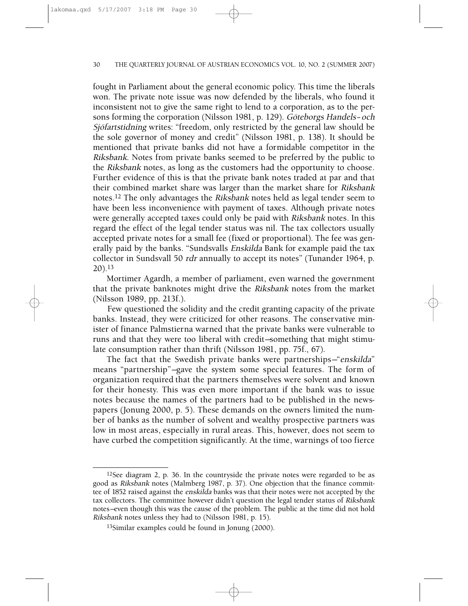fought in Parliament about the general economic policy. This time the liberals won. The private note issue was now defended by the liberals, who found it inconsistent not to give the same right to lend to a corporation, as to the persons forming the corporation (Nilsson 1981, p. 129). Göteborgs Handels– och Sjöfartstidning writes: "freedom, only restricted by the general law should be the sole governor of money and credit" (Nilsson 1981, p. 138). It should be mentioned that private banks did not have a formidable competitor in the Riksbank. Notes from private banks seemed to be preferred by the public to the Riksbank notes, as long as the customers had the opportunity to choose. Further evidence of this is that the private bank notes traded at par and that their combined market share was larger than the market share for Riksbank notes.12 The only advantages the Riksbank notes held as legal tender seem to have been less inconvenience with payment of taxes. Although private notes were generally accepted taxes could only be paid with Riksbank notes. In this regard the effect of the legal tender status was nil. The tax collectors usually accepted private notes for a small fee (fixed or proportional). The fee was generally paid by the banks. "Sundsvalls Enskilda Bank for example paid the tax collector in Sundsvall 50 rdr annually to accept its notes" (Tunander 1964, p. 20).13

Mortimer Agardh, a member of parliament, even warned the government that the private banknotes might drive the Riksbank notes from the market (Nilsson 1989, pp. 213f.).

Few questioned the solidity and the credit granting capacity of the private banks. Instead, they were criticized for other reasons. The conservative minister of finance Palmstierna warned that the private banks were vulnerable to runs and that they were too liberal with credit—something that might stimulate consumption rather than thrift (Nilsson 1981, pp. 75f., 67).

The fact that the Swedish private banks were partnerships—"enskilda" means "partnership"—gave the system some special features. The form of organization required that the partners themselves were solvent and known for their honesty. This was even more important if the bank was to issue notes because the names of the partners had to be published in the newspapers (Jonung 2000, p. 5). These demands on the owners limited the number of banks as the number of solvent and wealthy prospective partners was low in most areas, especially in rural areas. This, however, does not seem to have curbed the competition significantly. At the time, warnings of too fierce

<sup>12</sup>See diagram 2, p. 36. In the countryside the private notes were regarded to be as good as Riksbank notes (Malmberg 1987, p. 37). One objection that the finance committee of 1852 raised against the enskilda banks was that their notes were not accepted by the tax collectors. The committee however didn't question the legal tender status of Riksbank notes—even though this was the cause of the problem. The public at the time did not hold Riksbank notes unless they had to (Nilsson 1981, p. 15).

<sup>13</sup>Similar examples could be found in Jonung (2000).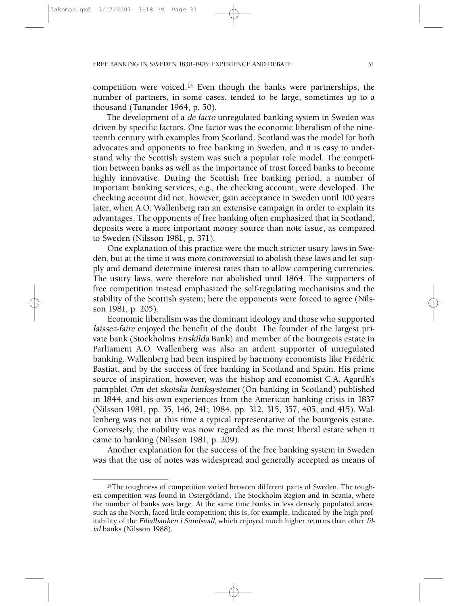competition were voiced.14 Even though the banks were partnerships, the number of partners, in some cases, tended to be large, sometimes up to a thousand (Tunander 1964, p. 50).

The development of a de facto unregulated banking system in Sweden was driven by specific factors. One factor was the economic liberalism of the nineteenth century with examples from Scotland. Scotland was the model for both advocates and opponents to free banking in Sweden, and it is easy to understand why the Scottish system was such a popular role model. The competition between banks as well as the importance of trust forced banks to become highly innovative. During the Scottish free banking period, a number of important banking services, e.g., the checking account, were developed. The checking account did not, however, gain acceptance in Sweden until 100 years later, when A.O. Wallenberg ran an extensive campaign in order to explain its advantages. The opponents of free banking often emphasized that in Scotland, deposits were a more important money source than note issue, as compared to Sweden (Nilsson 1981, p. 371).

One explanation of this practice were the much stricter usury laws in Sweden, but at the time it was more controversial to abolish these laws and let supply and demand determine interest rates than to allow competing currencies. The usury laws, were therefore not abolished until 1864. The supporters of free competition instead emphasized the self-regulating mechanisms and the stability of the Scottish system; here the opponents were forced to agree (Nilsson 1981, p. 205).

Economic liberalism was the dominant ideology and those who supported laissez-faire enjoyed the benefit of the doubt. The founder of the largest private bank (Stockholms Enskilda Bank) and member of the bourgeois estate in Parliament A.O. Wallenberg was also an ardent supporter of unregulated banking. Wallenberg had been inspired by harmony economists like Frédéric Bastiat, and by the success of free banking in Scotland and Spain. His prime source of inspiration, however, was the bishop and economist C.A. Agardh's pamphlet Om det skotska banksystemet (On banking in Scotland) published in 1844, and his own experiences from the American banking crisis in 1837 (Nilsson 1981, pp. 35, 146, 241; 1984, pp. 312, 315, 357, 405, and 415). Wallenberg was not at this time a typical representative of the bourgeois estate. Conversely, the nobility was now regarded as the most liberal estate when it came to banking (Nilsson 1981, p. 209).

Another explanation for the success of the free banking system in Sweden was that the use of notes was widespread and generally accepted as means of

<sup>14</sup>The toughness of competition varied between different parts of Sweden. The toughest competition was found in Östergötland, The Stockholm Region and in Scania, where the number of banks was large. At the same time banks in less densely populated areas, such as the North, faced little competition; this is, for example, indicated by the high profitability of the Filialbanken i Sundsvall, which enjoyed much higher returns than other filial banks (Nilsson 1988).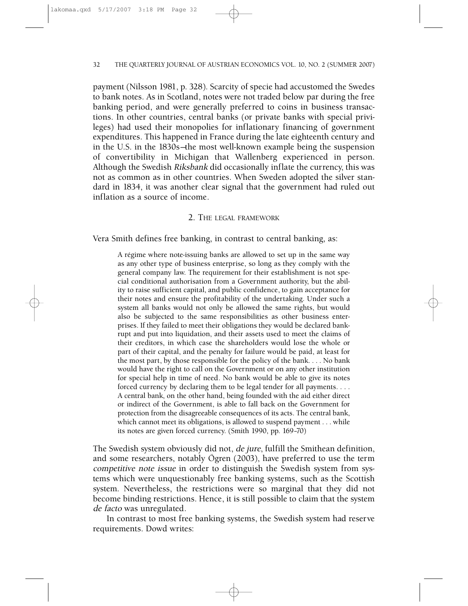payment (Nilsson 1981, p. 328). Scarcity of specie had accustomed the Swedes to bank notes. As in Scotland, notes were not traded below par during the free banking period, and were generally preferred to coins in business transactions. In other countries, central banks (or private banks with special privileges) had used their monopolies for inflationary financing of government expenditures. This happened in France during the late eighteenth century and in the U.S. in the 1830s—the most well-known example being the suspension of convertibility in Michigan that Wallenberg experienced in person. Although the Swedish Riksbank did occasionally inflate the currency, this was not as common as in other countries. When Sweden adopted the silver standard in 1834, it was another clear signal that the government had ruled out inflation as a source of income.

## 2. THE LEGAL FRAMEWORK

Vera Smith defines free banking, in contrast to central banking, as:

A régime where note-issuing banks are allowed to set up in the same way as any other type of business enterprise, so long as they comply with the general company law. The requirement for their establishment is not special conditional authorisation from a Government authority, but the ability to raise sufficient capital, and public confidence, to gain acceptance for their notes and ensure the profitability of the undertaking. Under such a system all banks would not only be allowed the same rights, but would also be subjected to the same responsibilities as other business enterprises. If they failed to meet their obligations they would be declared bankrupt and put into liquidation, and their assets used to meet the claims of their creditors, in which case the shareholders would lose the whole or part of their capital, and the penalty for failure would be paid, at least for the most part, by those responsible for the policy of the bank. . . . No bank would have the right to call on the Government or on any other institution for special help in time of need. No bank would be able to give its notes forced currency by declaring them to be legal tender for all payments. . . . A central bank, on the other hand, being founded with the aid either direct or indirect of the Government, is able to fall back on the Government for protection from the disagreeable consequences of its acts. The central bank, which cannot meet its obligations, is allowed to suspend payment . . . while its notes are given forced currency. (Smith 1990, pp. 169–70)

The Swedish system obviously did not, *de jure*, fulfill the Smithean definition, and some researchers, notably Ögren (2003), have preferred to use the term competitive note issue in order to distinguish the Swedish system from systems which were unquestionably free banking systems, such as the Scottish system. Nevertheless, the restrictions were so marginal that they did not become binding restrictions. Hence, it is still possible to claim that the system de facto was unregulated.

In contrast to most free banking systems, the Swedish system had reserve requirements. Dowd writes: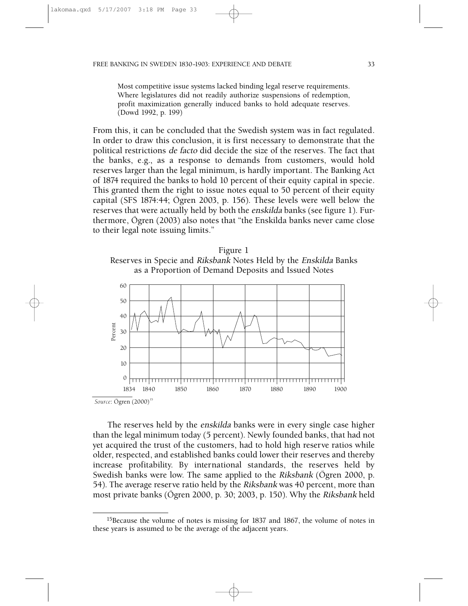Most competitive issue systems lacked binding legal reserve requirements. Where legislatures did not readily authorize suspensions of redemption, profit maximization generally induced banks to hold adequate reserves. (Dowd 1992, p. 199)

From this, it can be concluded that the Swedish system was in fact regulated. In order to draw this conclusion, it is first necessary to demonstrate that the political restrictions de facto did decide the size of the reserves. The fact that the banks, e.g., as a response to demands from customers, would hold reserves larger than the legal minimum, is hardly important. The Banking Act of 1874 required the banks to hold 10 percent of their equity capital in specie. This granted them the right to issue notes equal to 50 percent of their equity capital (SFS 1874:44; Ögren 2003, p. 156). These levels were well below the reserves that were actually held by both the enskilda banks (see figure 1). Furthermore, Ögren (2003) also notes that "the Enskilda banks never came close to their legal note issuing limits."





The reserves held by the enskilda banks were in every single case higher than the legal minimum today (5 percent). Newly founded banks, that had not yet acquired the trust of the customers, had to hold high reserve ratios while older, respected, and established banks could lower their reserves and thereby increase profitability. By international standards, the reserves held by Swedish banks were low. The same applied to the Riksbank (Ögren 2000, p. 54). The average reserve ratio held by the Riksbank was 40 percent, more than most private banks (Ögren 2000, p. 30; 2003, p. 150). Why the Riksbank held

<sup>15</sup>Because the volume of notes is missing for 1837 and 1867, the volume of notes in these years is assumed to be the average of the adjacent years.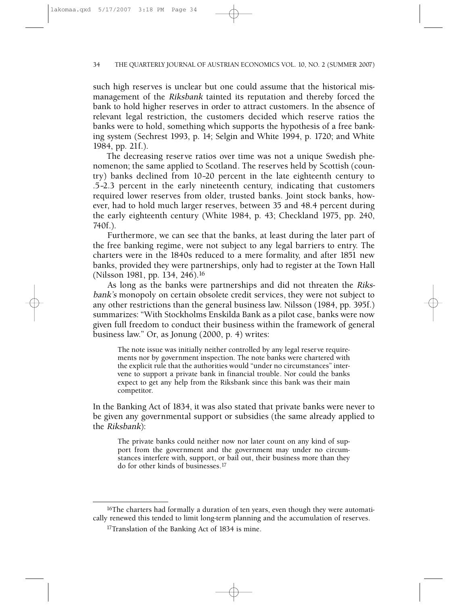such high reserves is unclear but one could assume that the historical mismanagement of the Riksbank tainted its reputation and thereby forced the bank to hold higher reserves in order to attract customers. In the absence of relevant legal restriction, the customers decided which reserve ratios the banks were to hold, something which supports the hypothesis of a free banking system (Sechrest 1993, p. 14; Selgin and White 1994, p. 1720; and White 1984, pp. 21f.).

The decreasing reserve ratios over time was not a unique Swedish phenomenon; the same applied to Scotland. The reserves held by Scottish (country) banks declined from 10–20 percent in the late eighteenth century to .5–2.3 percent in the early nineteenth century, indicating that customers required lower reserves from older, trusted banks. Joint stock banks, however, had to hold much larger reserves, between 35 and 48.4 percent during the early eighteenth century (White 1984, p. 43; Checkland 1975, pp. 240, 740f.).

Furthermore, we can see that the banks, at least during the later part of the free banking regime, were not subject to any legal barriers to entry. The charters were in the 1840s reduced to a mere formality, and after 1851 new banks, provided they were partnerships, only had to register at the Town Hall (Nilsson 1981, pp. 134, 246).16

As long as the banks were partnerships and did not threaten the Riksbank's monopoly on certain obsolete credit services, they were not subject to any other restrictions than the general business law. Nilsson (1984, pp. 395f.) summarizes: "With Stockholms Enskilda Bank as a pilot case, banks were now given full freedom to conduct their business within the framework of general business law." Or, as Jonung (2000, p. 4) writes:

The note issue was initially neither controlled by any legal reserve requirements nor by government inspection. The note banks were chartered with the explicit rule that the authorities would "under no circumstances" intervene to support a private bank in financial trouble. Nor could the banks expect to get any help from the Riksbank since this bank was their main competitor.

In the Banking Act of 1834, it was also stated that private banks were never to be given any governmental support or subsidies (the same already applied to the Riksbank):

The private banks could neither now nor later count on any kind of support from the government and the government may under no circumstances interfere with, support, or bail out, their business more than they do for other kinds of businesses.17

<sup>&</sup>lt;sup>16</sup>The charters had formally a duration of ten years, even though they were automatically renewed this tended to limit long-term planning and the accumulation of reserves.

<sup>&</sup>lt;sup>17</sup>Translation of the Banking Act of 1834 is mine.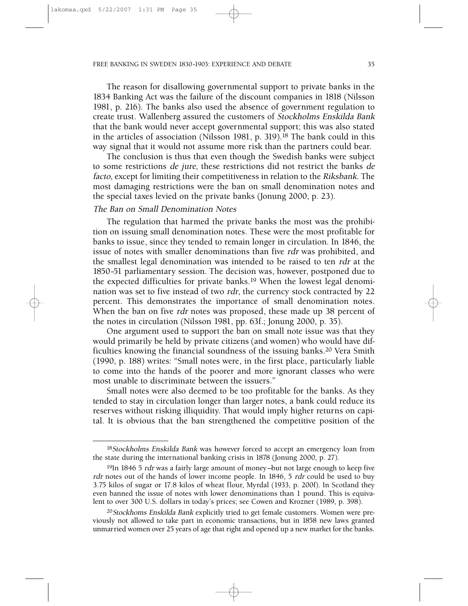The reason for disallowing governmental support to private banks in the 1834 Banking Act was the failure of the discount companies in 1818 (Nilsson 1981, p. 216). The banks also used the absence of government regulation to create trust. Wallenberg assured the customers of Stockholms Enskilda Bank that the bank would never accept governmental support; this was also stated in the articles of association (Nilsson 1981, p. 319).<sup>18</sup> The bank could in this way signal that it would not assume more risk than the partners could bear.

The conclusion is thus that even though the Swedish banks were subject to some restrictions de jure, these restrictions did not restrict the banks de facto, except for limiting their competitiveness in relation to the Riksbank. The most damaging restrictions were the ban on small denomination notes and the special taxes levied on the private banks (Jonung 2000, p. 23).

## The Ban on Small Denomination Notes

The regulation that harmed the private banks the most was the prohibition on issuing small denomination notes. These were the most profitable for banks to issue, since they tended to remain longer in circulation. In 1846, the issue of notes with smaller denominations than five rdr was prohibited, and the smallest legal denomination was intended to be raised to ten rdr at the 1850–51 parliamentary session. The decision was, however, postponed due to the expected difficulties for private banks.19 When the lowest legal denomination was set to five instead of two rdr, the currency stock contracted by 22 percent. This demonstrates the importance of small denomination notes. When the ban on five *rdr* notes was proposed, these made up 38 percent of the notes in circulation (Nilsson 1981, pp. 63f.; Jonung 2000, p. 35).

One argument used to support the ban on small note issue was that they would primarily be held by private citizens (and women) who would have difficulties knowing the financial soundness of the issuing banks.20 Vera Smith (1990, p. 188) writes: "Small notes were, in the first place, particularly liable to come into the hands of the poorer and more ignorant classes who were most unable to discriminate between the issuers."

Small notes were also deemed to be too profitable for the banks. As they tended to stay in circulation longer than larger notes, a bank could reduce its reserves without risking illiquidity. That would imply higher returns on capital. It is obvious that the ban strengthened the competitive position of the

<sup>18</sup>Stockholms Enskilda Bank was however forced to accept an emergency loan from the state during the international banking crisis in 1878 (Jonung 2000, p. 27).

<sup>&</sup>lt;sup>19</sup>In 1846 5 *rdr* was a fairly large amount of money—but not large enough to keep five rdr notes out of the hands of lower income people. In 1846, 5 rdr could be used to buy 3.75 kilos of sugar or 17.8 kilos of wheat flour, Myrdal (1933, p. 200f). In Scotland they even banned the issue of notes with lower denominations than 1 pound. This is equivalent to over 300 U.S. dollars in today's prices; see Cowen and Krozner (1989, p. 398).

<sup>&</sup>lt;sup>20</sup>Stockhoms Enskilda Bank explicitly tried to get female customers. Women were previously not allowed to take part in economic transactions, but in 1858 new laws granted unmarried women over 25 years of age that right and opened up a new market for the banks.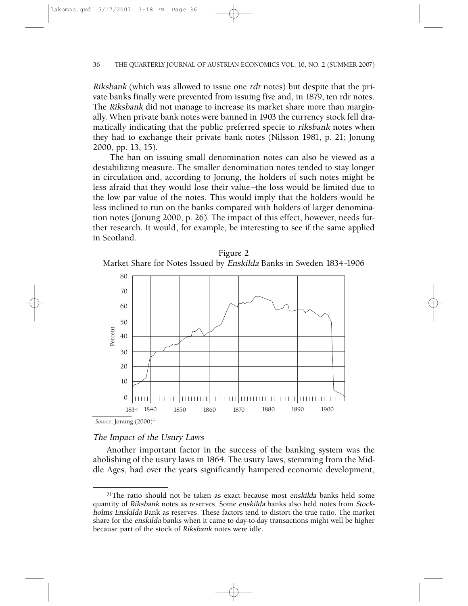Riksbank (which was allowed to issue one rdr notes) but despite that the private banks finally were prevented from issuing five and, in 1879, ten rdr notes. The Riksbank did not manage to increase its market share more than marginally. When private bank notes were banned in 1903 the currency stock fell dramatically indicating that the public preferred specie to riksbank notes when they had to exchange their private bank notes (Nilsson 1981, p. 21; Jonung 2000, pp. 13, 15).

The ban on issuing small denomination notes can also be viewed as a destabilizing measure. The smaller denomination notes tended to stay longer in circulation and, according to Jonung, the holders of such notes might be less afraid that they would lose their value—the loss would be limited due to the low par value of the notes. This would imply that the holders would be less inclined to run on the banks compared with holders of larger denomination notes (Jonung 2000, p. 26). The impact of this effect, however, needs further research. It would, for example, be interesting to see if the same applied in Scotland.





### The Impact of the Usury Laws

Another important factor in the success of the banking system was the abolishing of the usury laws in 1864. The usury laws, stemming from the Middle Ages, had over the years significantly hampered economic development,

<sup>21</sup>The ratio should not be taken as exact because most enskilda banks held some quantity of Riksbank notes as reserves. Some enskilda banks also held notes from Stockholms Enskilda Bank as reserves. These factors tend to distort the true ratio. The market share for the enskilda banks when it came to day-to-day transactions might well be higher because part of the stock of Riksbank notes were idle.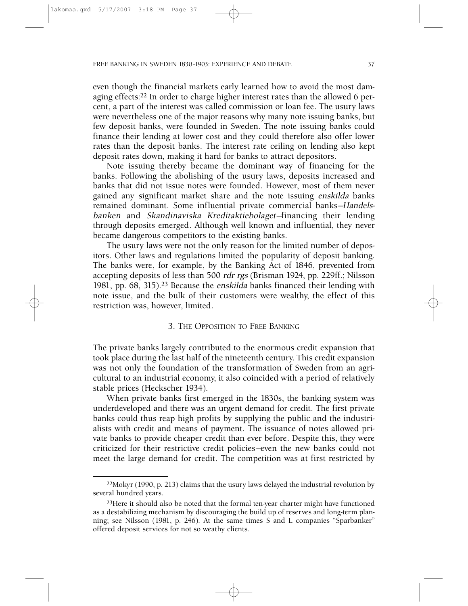even though the financial markets early learned how to avoid the most damaging effects:<sup>22</sup> In order to charge higher interest rates than the allowed 6 percent, a part of the interest was called commission or loan fee. The usury laws were nevertheless one of the major reasons why many note issuing banks, but few deposit banks, were founded in Sweden. The note issuing banks could finance their lending at lower cost and they could therefore also offer lower rates than the deposit banks. The interest rate ceiling on lending also kept deposit rates down, making it hard for banks to attract depositors.

Note issuing thereby became the dominant way of financing for the banks. Following the abolishing of the usury laws, deposits increased and banks that did not issue notes were founded. However, most of them never gained any significant market share and the note issuing enskilda banks remained dominant. Some influential private commercial banks—Handelsbanken and Skandinaviska Kreditaktiebolaget—financing their lending through deposits emerged. Although well known and influential, they never became dangerous competitors to the existing banks.

The usury laws were not the only reason for the limited number of depositors. Other laws and regulations limited the popularity of deposit banking. The banks were, for example, by the Banking Act of 1846, prevented from accepting deposits of less than 500 rdr rgs (Brisman 1924, pp. 229ff.; Nilsson 1981, pp. 68, 315).23 Because the enskilda banks financed their lending with note issue, and the bulk of their customers were wealthy, the effect of this restriction was, however, limited.

## 3. THE OPPOSITION TO FREE BANKING

The private banks largely contributed to the enormous credit expansion that took place during the last half of the nineteenth century. This credit expansion was not only the foundation of the transformation of Sweden from an agricultural to an industrial economy, it also coincided with a period of relatively stable prices (Heckscher 1934).

When private banks first emerged in the 1830s, the banking system was underdeveloped and there was an urgent demand for credit. The first private banks could thus reap high profits by supplying the public and the industrialists with credit and means of payment. The issuance of notes allowed private banks to provide cheaper credit than ever before. Despite this, they were criticized for their restrictive credit policies—even the new banks could not meet the large demand for credit. The competition was at first restricted by

<sup>22</sup>Mokyr (1990, p. 213) claims that the usury laws delayed the industrial revolution by several hundred years.

<sup>&</sup>lt;sup>23</sup>Here it should also be noted that the formal ten-year charter might have functioned as a destabilizing mechanism by discouraging the build up of reserves and long-term planning; see Nilsson (1981, p. 246). At the same times S and L companies "Sparbanker" offered deposit services for not so weathy clients.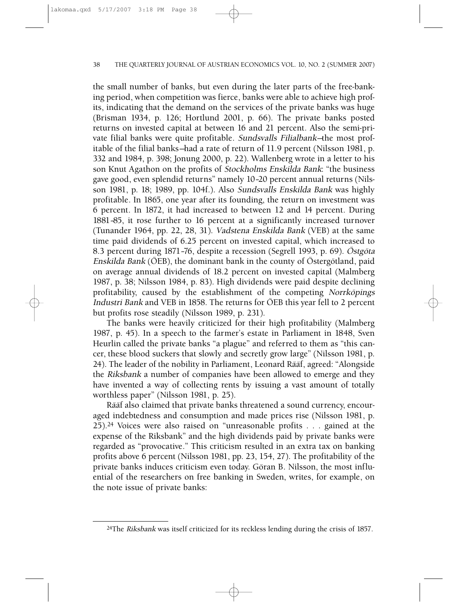the small number of banks, but even during the later parts of the free-banking period, when competition was fierce, banks were able to achieve high profits, indicating that the demand on the services of the private banks was huge (Brisman 1934, p. 126; Hortlund 2001, p. 66). The private banks posted returns on invested capital at between 16 and 21 percent. Also the semi-private filial banks were quite profitable. Sundsvalls Filialbank—the most profitable of the filial banks—had a rate of return of 11.9 percent (Nilsson 1981, p. 332 and 1984, p. 398; Jonung 2000, p. 22). Wallenberg wrote in a letter to his son Knut Agathon on the profits of Stockholms Enskilda Bank: "the business gave good, even splendid returns" namely 10–20 percent annual returns (Nilsson 1981, p. 18; 1989, pp. 104f.). Also Sundsvalls Enskilda Bank was highly profitable. In 1865, one year after its founding, the return on investment was 6 percent. In 1872, it had increased to between 12 and 14 percent. During 1881–85, it rose further to 16 percent at a significantly increased turnover (Tunander 1964, pp. 22, 28, 31). Vadstena Enskilda Bank (VEB) at the same time paid dividends of 6.25 percent on invested capital, which increased to 8.3 percent during 1871–76, despite a recession (Segrell 1993, p. 69). Östgöta Enskilda Bank (ÖEB), the dominant bank in the county of Östergötland, paid on average annual dividends of 18.2 percent on invested capital (Malmberg 1987, p. 38; Nilsson 1984, p. 83). High dividends were paid despite declining profitability, caused by the establishment of the competing Norrköpings Industri Bank and VEB in 1858. The returns for ÖEB this year fell to 2 percent but profits rose steadily (Nilsson 1989, p. 231).

The banks were heavily criticized for their high profitability (Malmberg 1987, p. 45). In a speech to the farmer's estate in Parliament in 1848, Sven Heurlin called the private banks "a plague" and referred to them as "this cancer, these blood suckers that slowly and secretly grow large" (Nilsson 1981, p. 24). The leader of the nobility in Parliament, Leonard Rääf, agreed: "Alongside the Riksbank a number of companies have been allowed to emerge and they have invented a way of collecting rents by issuing a vast amount of totally worthless paper" (Nilsson 1981, p. 25).

Rääf also claimed that private banks threatened a sound currency, encouraged indebtedness and consumption and made prices rise (Nilsson 1981, p. 25).24 Voices were also raised on "unreasonable profits . . . gained at the expense of the Riksbank" and the high dividends paid by private banks were regarded as "provocative." This criticism resulted in an extra tax on banking profits above 6 percent (Nilsson 1981, pp. 23, 154, 27). The profitability of the private banks induces criticism even today. Göran B. Nilsson, the most influential of the researchers on free banking in Sweden, writes, for example, on the note issue of private banks:

<sup>24</sup>The Riksbank was itself criticized for its reckless lending during the crisis of 1857.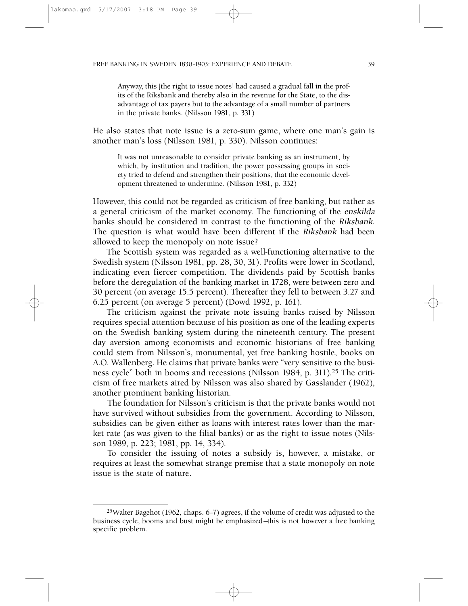Anyway, this [the right to issue notes] had caused a gradual fall in the profits of the Riksbank and thereby also in the revenue for the State, to the disadvantage of tax payers but to the advantage of a small number of partners in the private banks. (Nilsson 1981, p. 331)

He also states that note issue is a zero-sum game, where one man's gain is another man's loss (Nilsson 1981, p. 330). Nilsson continues:

It was not unreasonable to consider private banking as an instrument, by which, by institution and tradition, the power possessing groups in society tried to defend and strengthen their positions, that the economic development threatened to undermine. (Nilsson 1981, p. 332)

However, this could not be regarded as criticism of free banking, but rather as a general criticism of the market economy. The functioning of the enskilda banks should be considered in contrast to the functioning of the Riksbank. The question is what would have been different if the Riksbank had been allowed to keep the monopoly on note issue?

The Scottish system was regarded as a well-functioning alternative to the Swedish system (Nilsson 1981, pp. 28, 30, 31). Profits were lower in Scotland, indicating even fiercer competition. The dividends paid by Scottish banks before the deregulation of the banking market in 1728, were between zero and 30 percent (on average 15.5 percent). Thereafter they fell to between 3.27 and 6.25 percent (on average 5 percent) (Dowd 1992, p. 161).

The criticism against the private note issuing banks raised by Nilsson requires special attention because of his position as one of the leading experts on the Swedish banking system during the nineteenth century. The present day aversion among economists and economic historians of free banking could stem from Nilsson's, monumental, yet free banking hostile, books on A.O. Wallenberg. He claims that private banks were "very sensitive to the business cycle" both in booms and recessions (Nilsson 1984, p. 311).25 The criticism of free markets aired by Nilsson was also shared by Gasslander (1962), another prominent banking historian.

The foundation for Nilsson's criticism is that the private banks would not have survived without subsidies from the government. According to Nilsson, subsidies can be given either as loans with interest rates lower than the market rate (as was given to the filial banks) or as the right to issue notes (Nilsson 1989, p. 223; 1981, pp. 14, 334).

To consider the issuing of notes a subsidy is, however, a mistake, or requires at least the somewhat strange premise that a state monopoly on note issue is the state of nature.

<sup>25</sup>Walter Bagehot (1962, chaps. 6–7) agrees, if the volume of credit was adjusted to the business cycle, booms and bust might be emphasized—this is not however a free banking specific problem.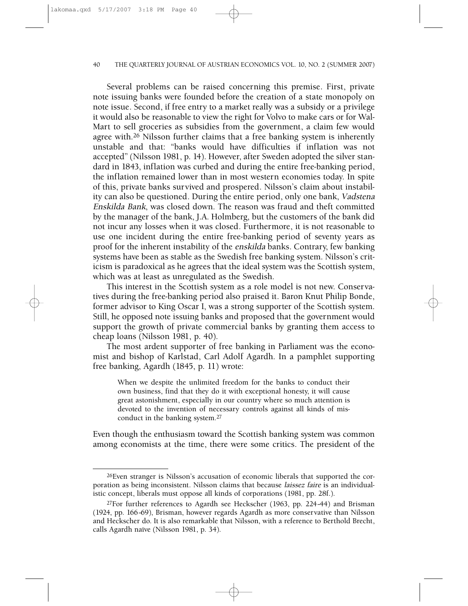Several problems can be raised concerning this premise. First, private note issuing banks were founded before the creation of a state monopoly on note issue. Second, if free entry to a market really was a subsidy or a privilege it would also be reasonable to view the right for Volvo to make cars or for Wal-Mart to sell groceries as subsidies from the government, a claim few would agree with.<sup>26</sup> Nilsson further claims that a free banking system is inherently unstable and that: "banks would have difficulties if inflation was not accepted" (Nilsson 1981, p. 14). However, after Sweden adopted the silver standard in 1843, inflation was curbed and during the entire free-banking period, the inflation remained lower than in most western economies today. In spite of this, private banks survived and prospered. Nilsson's claim about instability can also be questioned. During the entire period, only one bank, Vadstena Enskilda Bank, was closed down. The reason was fraud and theft committed by the manager of the bank, J.A. Holmberg, but the customers of the bank did not incur any losses when it was closed. Furthermore, it is not reasonable to use one incident during the entire free-banking period of seventy years as proof for the inherent instability of the enskilda banks. Contrary, few banking systems have been as stable as the Swedish free banking system. Nilsson's criticism is paradoxical as he agrees that the ideal system was the Scottish system, which was at least as unregulated as the Swedish.

This interest in the Scottish system as a role model is not new. Conservatives during the free-banking period also praised it. Baron Knut Philip Bonde, former advisor to King Oscar I, was a strong supporter of the Scottish system. Still, he opposed note issuing banks and proposed that the government would support the growth of private commercial banks by granting them access to cheap loans (Nilsson 1981, p. 40).

The most ardent supporter of free banking in Parliament was the economist and bishop of Karlstad, Carl Adolf Agardh. In a pamphlet supporting free banking, Agardh (1845, p. 11) wrote:

When we despite the unlimited freedom for the banks to conduct their own business, find that they do it with exceptional honesty, it will cause great astonishment, especially in our country where so much attention is devoted to the invention of necessary controls against all kinds of misconduct in the banking system.27

Even though the enthusiasm toward the Scottish banking system was common among economists at the time, there were some critics. The president of the

<sup>26</sup>Even stranger is Nilsson's accusation of economic liberals that supported the corporation as being inconsistent. Nilsson claims that because *laissez faire* is an individualistic concept, liberals must oppose all kinds of corporations (1981, pp. 28f.).

<sup>27</sup>For further references to Agardh see Heckscher (1963, pp. 224–44) and Brisman (1924, pp. 166–69), Brisman, however regards Agardh as more conservative than Nilsson and Heckscher do. It is also remarkable that Nilsson, with a reference to Berthold Brecht, calls Agardh naïve (Nilsson 1981, p. 34).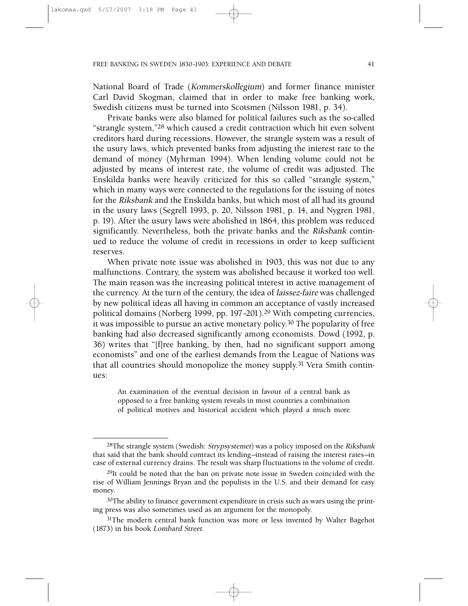National Board of Trade (Kommerskollegium) and former finance minister Carl David Skogman, claimed that in order to make free banking work, Swedish citizens must be turned into Scotsmen (Nilsson 1981, p. 34).

Private banks were also blamed for political failures such as the so-called "strangle system,"28 which caused a credit contraction which hit even solvent creditors hard during recessions. However, the strangle system was a result of the usury laws, which prevented banks from adjusting the interest rate to the demand of money (Myhrman 1994). When lending volume could not be adjusted by means of interest rate, the volume of credit was adjusted. The Enskilda banks were heavily criticized for this so called "strangle system," which in many ways were connected to the regulations for the issuing of notes for the Riksbank and the Enskilda banks, but which most of all had its ground in the usury laws (Segrell 1993, p. 20, Nilsson 1981, p. 14, and Nygren 1981, p. 19). After the usury laws were abolished in 1864, this problem was reduced significantly. Nevertheless, both the private banks and the Riksbank continued to reduce the volume of credit in recessions in order to keep sufficient reserves.

When private note issue was abolished in 1903, this was not due to any malfunctions. Contrary, the system was abolished because it worked too well. The main reason was the increasing political interest in active management of the currency. At the turn of the century, the idea of laissez-faire was challenged by new political ideas all having in common an acceptance of vastly increased political domains (Norberg 1999, pp. 197–201).29 With competing currencies, it was impossible to pursue an active monetary policy.30 The popularity of free banking had also decreased significantly among economists. Dowd (1992, p. 36) writes that "[f]ree banking, by then, had no significant support among economists" and one of the earliest demands from the League of Nations was that all countries should monopolize the money supply.<sup>31</sup> Vera Smith continues:

An examination of the eventual decision in favour of a central bank as opposed to a free banking system reveals in most countries a combination of political motives and historical accident which played a much more

<sup>&</sup>lt;sup>28</sup>The strangle system (Swedish: Strypsystemet) was a policy imposed on the Riksbank that said that the bank should contract its lending—instead of raising the interest rates—in case of external currency drains. The result was sharp fluctuations in the volume of credit.

<sup>29</sup>It could be noted that the ban on private note issue in Sweden coincided with the rise of William Jennings Bryan and the populists in the U.S. and their demand for easy money.

<sup>&</sup>lt;sup>30</sup>The ability to finance government expenditure in crisis such as wars using the printing press was also sometimes used as an argument for the monopoly.

<sup>31</sup>The modern central bank function was more or less invented by Walter Bagehot (1873) in his book Lombard Street.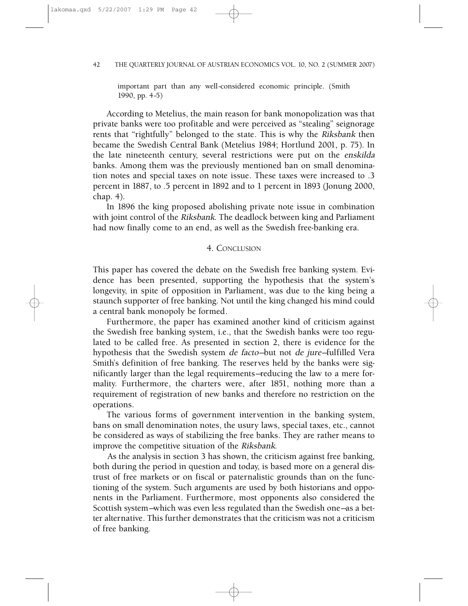important part than any well–considered economic principle. (Smith 1990, pp. 4–5)

According to Metelius, the main reason for bank monopolization was that private banks were too profitable and were perceived as "stealing" seignorage rents that "rightfully" belonged to the state. This is why the Riksbank then became the Swedish Central Bank (Metelius 1984; Hortlund 2001, p. 75). In the late nineteenth century, several restrictions were put on the enskilda banks. Among them was the previously mentioned ban on small denomination notes and special taxes on note issue. These taxes were increased to .3 percent in 1887, to .5 percent in 1892 and to 1 percent in 1893 (Jonung 2000, chap. 4).

In 1896 the king proposed abolishing private note issue in combination with joint control of the Riksbank. The deadlock between king and Parliament had now finally come to an end, as well as the Swedish free-banking era.

## 4. CONCLUSION

This paper has covered the debate on the Swedish free banking system. Evidence has been presented, supporting the hypothesis that the system's longevity, in spite of opposition in Parliament, was due to the king being a staunch supporter of free banking. Not until the king changed his mind could a central bank monopoly be formed.

Furthermore, the paper has examined another kind of criticism against the Swedish free banking system, i.e., that the Swedish banks were too regulated to be called free. As presented in section 2, there is evidence for the hypothesis that the Swedish system *de facto—*but not *de jure—*fulfilled Vera Smith's definition of free banking. The reserves held by the banks were significantly larger than the legal requirements—reducing the law to a mere formality. Furthermore, the charters were, after 1851, nothing more than a requirement of registration of new banks and therefore no restriction on the operations.

The various forms of government intervention in the banking system, bans on small denomination notes, the usury laws, special taxes, etc., cannot be considered as ways of stabilizing the free banks. They are rather means to improve the competitive situation of the Riksbank.

As the analysis in section 3 has shown, the criticism against free banking, both during the period in question and today, is based more on a general distrust of free markets or on fiscal or paternalistic grounds than on the functioning of the system. Such arguments are used by both historians and opponents in the Parliament. Furthermore, most opponents also considered the Scottish system—which was even less regulated than the Swedish one—as a better alternative. This further demonstrates that the criticism was not a criticism of free banking.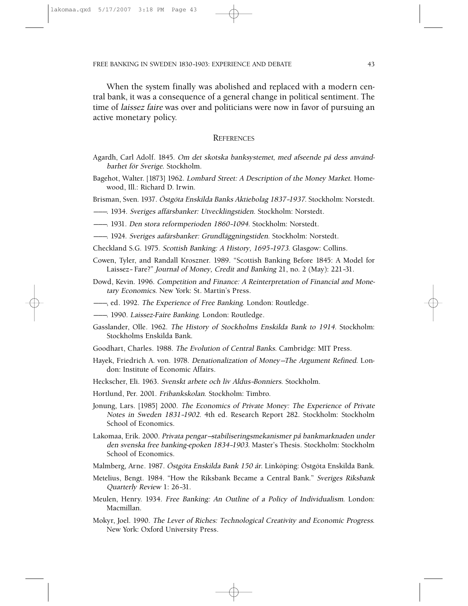When the system finally was abolished and replaced with a modern central bank, it was a consequence of a general change in political sentiment. The time of *laissez faire* was over and politicians were now in favor of pursuing an active monetary policy.

#### **REFERENCES**

- Agardh, Carl Adolf. 1845. Om det skotska banksystemet, med afseende på dess användbarhet för Sverige. Stockholm.
- Bagehot, Walter. [1873] 1962. Lombard Street: A Description of the Money Market. Homewood, Ill.: Richard D. Irwin.
- Brisman, Sven. 1937. Östgöta Enskilda Banks Aktiebolag 1837–1937. Stockholm: Norstedt.
- ———. 1934. Sveriges affärsbanker: Utvecklingstiden. Stockholm: Norstedt.
- ———. 1931. Den stora reformperioden 1860–1094. Stockholm: Norstedt.
- ———. 1924. Sveriges aafärsbanker: Grundläggningstiden. Stockholm: Norstedt.
- Checkland S.G. 1975. Scottish Banking: A History, 1695–1973. Glasgow: Collins.
- Cowen, Tyler, and Randall Kroszner. 1989. "Scottish Banking Before 1845: A Model for Laissez– Fare?" Journal of Money, Credit and Banking 21, no. 2 (May): 221–31.
- Dowd, Kevin. 1996. Competition and Finance: A Reinterpretation of Financial and Monetary Economics. New York: St. Martin's Press.
- --, ed. 1992. The Experience of Free Banking. London: Routledge.
- ---- 1990. Laissez-Faire Banking. London: Routledge.
- Gasslander, Olle. 1962. The History of Stockholms Enskilda Bank to 1914. Stockholm: Stockholms Enskilda Bank.
- Goodhart, Charles. 1988. The Evolution of Central Banks. Cambridge: MIT Press.
- Hayek, Friedrich A. von. 1978. Denationalization of Money—The Argument Refined. London: Institute of Economic Affairs.
- Heckscher, Eli. 1963. Svenskt arbete och liv Aldus–Bonniers. Stockholm.
- Hortlund, Per. 2001. Fribankskolan. Stockholm: Timbro.
- Jonung, Lars. [1985] 2000. The Economics of Private Money: The Experience of Private Notes in Sweden 1831–1902. 4th ed. Research Report 282. Stockholm: Stockholm School of Economics.
- Lakomaa, Erik. 2000. Privata pengar—stabiliseringsmekanismer på bankmarknaden under den svenska free banking-epoken 1834–1903. Master's Thesis. Stockholm: Stockholm School of Economics.
- Malmberg, Arne. 1987. Östgöta Enskilda Bank 150 år. Linköping: Östgöta Enskilda Bank.
- Metelius, Bengt. 1984. "How the Riksbank Became a Central Bank." Sveriges Riksbank Quarterly Review 1: 26–31.
- Meulen, Henry. 1934. Free Banking: An Outline of a Policy of Individualism. London: Macmillan.
- Mokyr, Joel. 1990. The Lever of Riches: Technological Creativity and Economic Progress. New York: Oxford University Press.